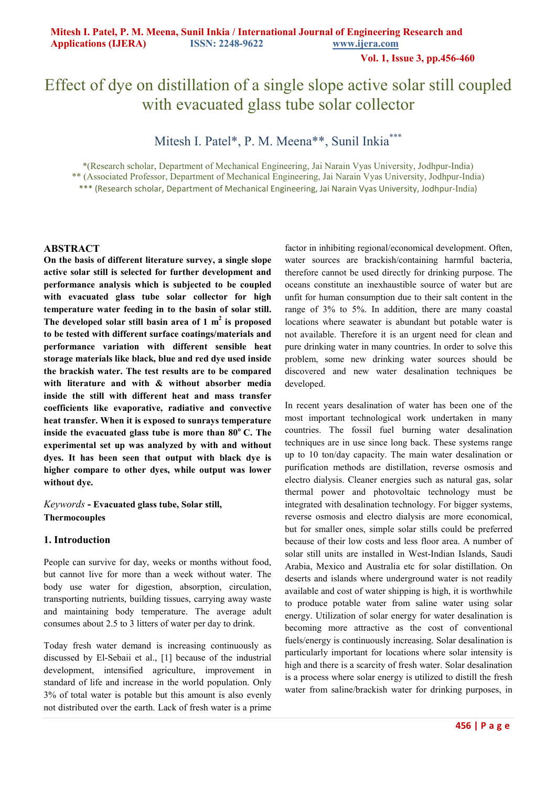**Vol. 1, Issue 3, pp.456-460**

# Effect of dye on distillation of a single slope active solar still coupled with evacuated glass tube solar collector

# Mitesh I. Patel\*, P. M. Meena\*\*, Sunil Inkia\*\*\*

\*(Research scholar, Department of Mechanical Engineering, Jai Narain Vyas University, Jodhpur-India) \*\* (Associated Professor, Department of Mechanical Engineering, Jai Narain Vyas University, Jodhpur-India) \*\*\* (Research scholar, Department of Mechanical Engineering, Jai Narain Vyas University, Jodhpur-India)

#### **ABSTRACT**

**On the basis of different literature survey, a single slope active solar still is selected for further development and performance analysis which is subjected to be coupled with evacuated glass tube solar collector for high temperature water feeding in to the basin of solar still. The developed solar still basin area of 1 m<sup>2</sup> is proposed to be tested with different surface coatings/materials and performance variation with different sensible heat storage materials like black, blue and red dye used inside the brackish water. The test results are to be compared with literature and with & without absorber media inside the still with different heat and mass transfer coefficients like evaporative, radiative and convective heat transfer. When it is exposed to sunrays temperature inside the evacuated glass tube is more than 80<sup>o</sup>C. The experimental set up was analyzed by with and without dyes. It has been seen that output with black dye is higher compare to other dyes, while output was lower without dye.** 

*Keywords* **- Evacuated glass tube, Solar still, Thermocouples**

#### **1. Introduction**

People can survive for day, weeks or months without food, but cannot live for more than a week without water. The body use water for digestion, absorption, circulation, transporting nutrients, building tissues, carrying away waste and maintaining body temperature. The average adult consumes about 2.5 to 3 litters of water per day to drink.

Today fresh water demand is increasing continuously as discussed by El-Sebaii et al., [1] because of the industrial development, intensified agriculture, improvement in standard of life and increase in the world population. Only 3% of total water is potable but this amount is also evenly not distributed over the earth. Lack of fresh water is a prime

factor in inhibiting regional/economical development. Often, water sources are brackish/containing harmful bacteria, therefore cannot be used directly for drinking purpose. The oceans constitute an inexhaustible source of water but are unfit for human consumption due to their salt content in the range of 3% to 5%. In addition, there are many coastal locations where seawater is abundant but potable water is not available. Therefore it is an urgent need for clean and pure drinking water in many countries. In order to solve this problem, some new drinking water sources should be discovered and new water desalination techniques be developed.

In recent years desalination of water has been one of the most important technological work undertaken in many countries. The fossil fuel burning water desalination techniques are in use since long back. These systems range up to 10 ton/day capacity. The main water desalination or purification methods are distillation, reverse osmosis and electro dialysis. Cleaner energies such as natural gas, solar thermal power and photovoltaic technology must be integrated with desalination technology. For bigger systems, reverse osmosis and electro dialysis are more economical, but for smaller ones, simple solar stills could be preferred because of their low costs and less floor area. A number of solar still units are installed in West-Indian Islands, Saudi Arabia, Mexico and Australia etc for solar distillation. On deserts and islands where underground water is not readily available and cost of water shipping is high, it is worthwhile to produce potable water from saline water using solar energy. Utilization of solar energy for water desalination is becoming more attractive as the cost of conventional fuels/energy is continuously increasing. Solar desalination is particularly important for locations where solar intensity is high and there is a scarcity of fresh water. Solar desalination is a process where solar energy is utilized to distill the fresh water from saline/brackish water for drinking purposes, in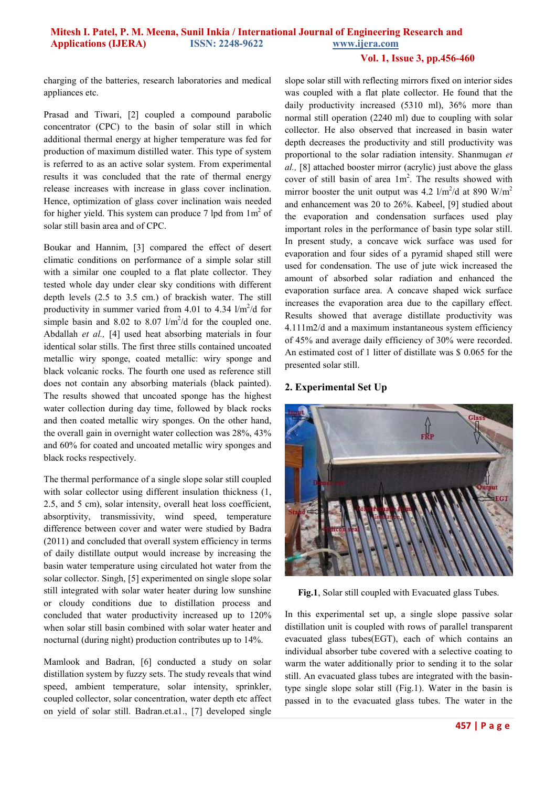#### **Vol. 1, Issue 3, pp.456-460**

charging of the batteries, research laboratories and medical appliances etc.

Prasad and Tiwari, [2] coupled a compound parabolic concentrator (CPC) to the basin of solar still in which additional thermal energy at higher temperature was fed for production of maximum distilled water. This type of system is referred to as an active solar system. From experimental results it was concluded that the rate of thermal energy release increases with increase in glass cover inclination. Hence, optimization of glass cover inclination wais needed for higher yield. This system can produce 7 lpd from  $1m<sup>2</sup>$  of solar still basin area and of CPC.

Boukar and Hannim, [3] compared the effect of desert climatic conditions on performance of a simple solar still with a similar one coupled to a flat plate collector. They tested whole day under clear sky conditions with different depth levels (2.5 to 3.5 cm.) of brackish water. The still productivity in summer varied from 4.01 to 4.34  $1/m^2/d$  for simple basin and 8.02 to 8.07  $1/m^2/d$  for the coupled one. Abdallah *et al.,* [4] used heat absorbing materials in four identical solar stills. The first three stills contained uncoated metallic wiry sponge, coated metallic: wiry sponge and black volcanic rocks. The fourth one used as reference still does not contain any absorbing materials (black painted). The results showed that uncoated sponge has the highest water collection during day time, followed by black rocks and then coated metallic wiry sponges. On the other hand, the overall gain in overnight water collection was 28%, 43% and 60% for coated and uncoated metallic wiry sponges and black rocks respectively.

The thermal performance of a single slope solar still coupled with solar collector using different insulation thickness  $(1, 1)$ 2.5, and 5 cm), solar intensity, overall heat loss coefficient, absorptivity, transmissivity, wind speed, temperature difference between cover and water were studied by Badra (2011) and concluded that overall system efficiency in terms of daily distillate output would increase by increasing the basin water temperature using circulated hot water from the solar collector. Singh, [5] experimented on single slope solar still integrated with solar water heater during low sunshine or cloudy conditions due to distillation process and concluded that water productivity increased up to 120% when solar still basin combined with solar water heater and nocturnal (during night) production contributes up to 14%.

Mamlook and Badran, [6] conducted a study on solar distillation system by fuzzy sets. The study reveals that wind speed, ambient temperature, solar intensity, sprinkler, coupled collector, solar concentration, water depth etc affect on yield of solar still. Badran.et.a1., [7] developed single

slope solar still with reflecting mirrors fixed on interior sides was coupled with a flat plate collector. He found that the daily productivity increased (5310 ml), 36% more than normal still operation (2240 ml) due to coupling with solar collector. He also observed that increased in basin water depth decreases the productivity and still productivity was proportional to the solar radiation intensity. Shanmugan *et al.,* [8] attached booster mirror (acrylic) just above the glass cover of still basin of area  $1m^2$ . The results showed with mirror booster the unit output was 4.2  $1/m^2/d$  at 890 W/m<sup>2</sup> and enhancement was 20 to 26%. Kabeel, [9] studied about the evaporation and condensation surfaces used play important roles in the performance of basin type solar still. In present study, a concave wick surface was used for evaporation and four sides of a pyramid shaped still were used for condensation. The use of jute wick increased the amount of absorbed solar radiation and enhanced the evaporation surface area. A concave shaped wick surface increases the evaporation area due to the capillary effect. Results showed that average distillate productivity was 4.111m2/d and a maximum instantaneous system efficiency of 45% and average daily efficiency of 30% were recorded. An estimated cost of 1 litter of distillate was \$ 0.065 for the presented solar still.

#### **2. Experimental Set Up**



**Fig.1**, Solar still coupled with Evacuated glass Tubes.

In this experimental set up, a single slope passive solar distillation unit is coupled with rows of parallel transparent evacuated glass tubes(EGT), each of which contains an individual absorber tube covered with a selective coating to warm the water additionally prior to sending it to the solar still. An evacuated glass tubes are integrated with the basintype single slope solar still (Fig.1). Water in the basin is passed in to the evacuated glass tubes. The water in the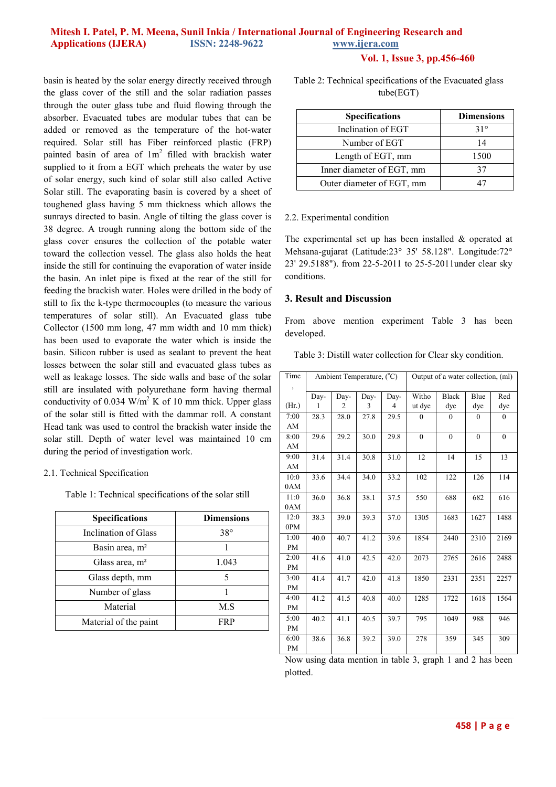# **Mitesh I. Patel, P. M. Meena, Sunil Inkia / International Journal of Engineering Research and Applications (IJERA) ISSN: 2248-9622 www.ijera.com**

#### **Vol. 1, Issue 3, pp.456-460**

basin is heated by the solar energy directly received through the glass cover of the still and the solar radiation passes through the outer glass tube and fluid flowing through the absorber. Evacuated tubes are modular tubes that can be added or removed as the temperature of the hot-water required. Solar still has Fiber reinforced plastic (FRP) painted basin of area of  $1m^2$  filled with brackish water supplied to it from a EGT which preheats the water by use of solar energy, such kind of solar still also called Active Solar still. The evaporating basin is covered by a sheet of toughened glass having 5 mm thickness which allows the sunrays directed to basin. Angle of tilting the glass cover is 38 degree. A trough running along the bottom side of the glass cover ensures the collection of the potable water toward the collection vessel. The glass also holds the heat inside the still for continuing the evaporation of water inside the basin. An inlet pipe is fixed at the rear of the still for feeding the brackish water. Holes were drilled in the body of still to fix the k-type thermocouples (to measure the various temperatures of solar still). An Evacuated glass tube Collector (1500 mm long, 47 mm width and 10 mm thick) has been used to evaporate the water which is inside the basin. Silicon rubber is used as sealant to prevent the heat losses between the solar still and evacuated glass tubes as well as leakage losses. The side walls and base of the solar still are insulated with polyurethane form having thermal conductivity of 0.034  $\text{W/m}^2$  K of 10 mm thick. Upper glass of the solar still is fitted with the dammar roll. A constant Head tank was used to control the brackish water inside the solar still. Depth of water level was maintained 10 cm during the period of investigation work.

#### 2.1. Technical Specification

Table 1: Technical specifications of the solar still

| <b>Specifications</b>      | <b>Dimensions</b> |
|----------------------------|-------------------|
| Inclination of Glass       | $38^\circ$        |
| Basin area, m <sup>2</sup> |                   |
| Glass area, $m2$           | 1.043             |
| Glass depth, mm            | 5                 |
| Number of glass            |                   |
| Material                   | M.S               |
| Material of the paint      | FR P              |

Table 2: Technical specifications of the Evacuated glass tube(EGT)

| <b>Specifications</b>     | <b>Dimensions</b> |  |  |
|---------------------------|-------------------|--|--|
| Inclination of EGT        | $31^\circ$        |  |  |
| Number of EGT             | 14                |  |  |
| Length of EGT, mm         | 1500              |  |  |
| Inner diameter of EGT, mm |                   |  |  |
| Outer diameter of EGT, mm |                   |  |  |

#### 2.2. Experimental condition

The experimental set up has been installed & operated at Mehsana-gujarat (Latitude:23° 35' 58.128". Longitude:72° 23' 29.5188"). from 22-5-2011 to 25-5-2011under clear sky conditions.

#### **3. Result and Discussion**

From above mention experiment Table 3 has been developed.

Table 3: Distill water collection for Clear sky condition.

| Time           | Ambient Temperature, (°C) |                |              | Output of a water collection, (ml) |              |              |              |              |
|----------------|---------------------------|----------------|--------------|------------------------------------|--------------|--------------|--------------|--------------|
| $\overline{ }$ | Day-                      | Day-           | Day-         | Day-                               | Witho        | <b>Black</b> | Blue         | Red          |
| (Hr.)          | 1                         | $\mathfrak{D}$ | 3            | $\overline{4}$                     | ut dye       | dye          | dye          | dye          |
| 7:00           | 28.3                      | 28.0           | 27.8         | 29.5                               | $\Omega$     | $\Omega$     | $\Omega$     | $\theta$     |
| AM             |                           |                |              |                                    |              |              |              |              |
| 8:00           | 29.6                      | 29.2           | 30.0         | 29.8                               | $\mathbf{0}$ | $\mathbf{0}$ | $\mathbf{0}$ | $\mathbf{0}$ |
| AM             |                           |                |              |                                    |              |              |              |              |
| 9:00           | 31.4                      | 31.4           | 30.8         | 31.0                               | 12           | 14           | 15           | 13           |
| AM             |                           |                |              |                                    |              |              |              |              |
| 10:0           | 33.6                      | 34.4           | 34.0         | 33.2                               | 102          | 122          | 126          | 114          |
| 0AM            |                           |                |              |                                    |              |              |              |              |
| 11:0           | 36.0                      | 36.8           | 38.1         | 37.5                               | 550          | 688          | 682          | 616          |
| 0AM            |                           |                |              |                                    |              |              |              |              |
| 12:0           | 38.3                      | 39.0           | 39.3         | 37.0                               | 1305         | 1683         | 1627         | 1488         |
| 0PM            |                           |                |              |                                    |              |              |              |              |
| 1:00           | 40.0                      | 40.7           | 41.2         | 39.6                               | 1854         | 2440         | 2310         | 2169         |
| <b>PM</b>      |                           |                |              |                                    |              |              |              |              |
| 2:00           | 41.6                      | 41.0           | 42.5         | 42.0                               | 2073         | 2765         | 2616         | 2488         |
| PM             |                           |                |              |                                    |              |              |              |              |
| 3:00           | 41.4                      | 41.7           | 42.0         | 41.8                               | 1850         | 2331         | 2351         | 2257         |
| <b>PM</b>      |                           |                |              |                                    |              |              |              |              |
| 4:00           | 41.2                      | 41.5           | 40.8         | 40.0                               | 1285         | 1722         | 1618         | 1564         |
| PM             |                           |                |              |                                    |              |              |              |              |
| 5:00           | 40.2                      | 41.1           | 40.5         | 39.7                               | 795          | 1049         | 988          | 946          |
| PM             |                           |                |              |                                    |              |              |              |              |
| 6:00           | 38.6                      | 36.8           | 39.2         | 39.0                               | 278          | 359          | 345          | 309          |
| PM             |                           |                | $\mathbf{A}$ | 1.1.1                              |              | 1.11         | 1.21         |              |

Now using data mention in table 3, graph 1 and 2 has been plotted.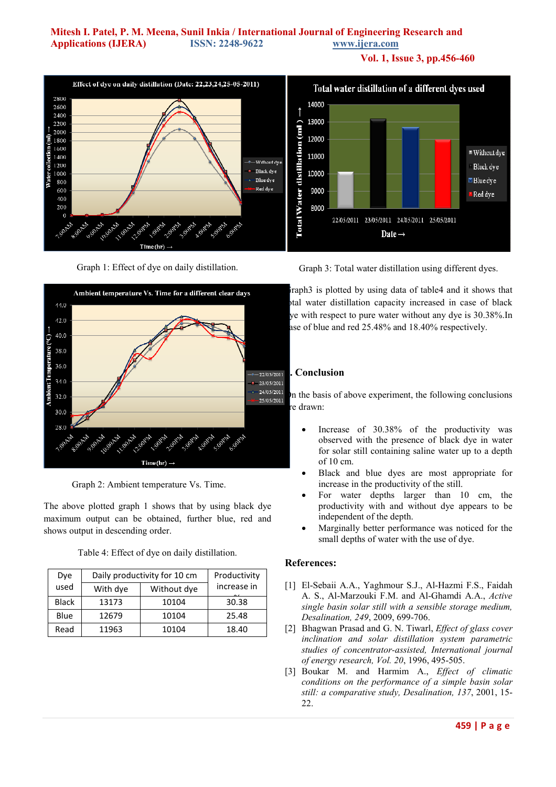### **Mitesh I. Patel, P. M. Meena, Sunil Inkia / International Journal of Engineering Research and Applications (IJERA) ISSN: 2248-9622 www.ijera.com**

**Vol. 1, Issue 3, pp.456-460**







Graph 2: Ambient temperature Vs. Time.

The above plotted graph 1 shows that by using black dye maximum output can be obtained, further blue, red and shows output in descending order.

Table 4: Effect of dye on daily distillation.

| Dye          | Daily productivity for 10 cm | Productivity |             |
|--------------|------------------------------|--------------|-------------|
| used         | With dye                     | Without dye  | increase in |
| <b>Black</b> | 13173                        | 10104        | 30.38       |
| Blue         | 12679                        | 10104        | 25.48       |
| Read         | 11963                        | 10104        | 18.40       |

Graph 3: Total water distillation using different dyes.

raph3 is plotted by using data of table4 and it shows that tal water distillation capacity increased in case of black ye with respect to pure water without any dye is 30.38%.In ase of blue and red 25.48% and 18.40% respectively.

## **4. Conclusion**

 $\sum_{25/0.5/2011}$  on the basis of above experiment, the following conclusions re drawn<sup>.</sup>

- Increase of 30.38% of the productivity was observed with the presence of black dye in water for solar still containing saline water up to a depth of 10 cm.
- Black and blue dyes are most appropriate for increase in the productivity of the still.
- For water depths larger than 10 cm, the productivity with and without dye appears to be independent of the depth.
- Marginally better performance was noticed for the small depths of water with the use of dye.

#### **References:**

- [1] El-Sebaii A.A., Yaghmour S.J., Al-Hazmi F.S., Faidah A. S., Al-Marzouki F.M. and Al-Ghamdi A.A., *Active single basin solar still with a sensible storage medium, Desalination, 249*, 2009, 699-706.
- [2] Bhagwan Prasad and G. N. Tiwarl, *Effect of glass cover inclination and solar distillation system parametric studies of concentrator-assisted, International journal of energy research, Vol. 20*, 1996, 495-505.
- [3] Boukar M. and Harmim A., *Effect of climatic conditions on the performance of a simple basin solar still: a comparative study, Desalination, 137*, 2001, 15- 22.